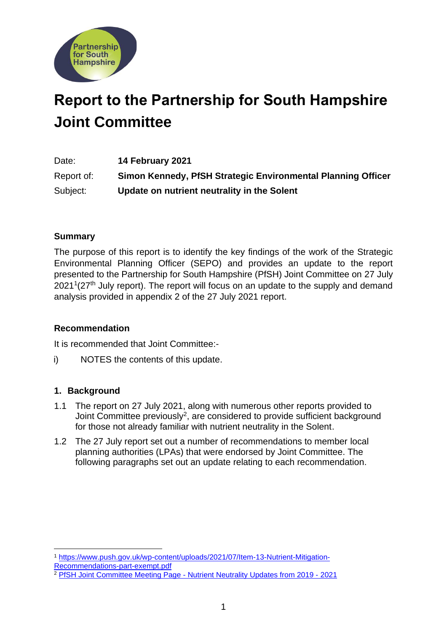

# **Report to the Partnership for South Hampshire Joint Committee**

Date: **14 February 2021** Report of: **Simon Kennedy, PfSH Strategic Environmental Planning Officer** Subject: **Update on nutrient neutrality in the Solent**

# **Summary**

The purpose of this report is to identify the key findings of the work of the Strategic Environmental Planning Officer (SEPO) and provides an update to the report presented to the Partnership for South Hampshire (PfSH) Joint Committee on 27 July  $2021<sup>1</sup>(27<sup>th</sup>$  July report). The report will focus on an update to the supply and demand analysis provided in appendix 2 of the 27 July 2021 report.

## **Recommendation**

It is recommended that Joint Committee:-

i) NOTES the contents of this update.

## **1. Background**

- 1.1 The report on 27 July 2021, along with numerous other reports provided to Joint Committee previously<sup>2</sup>, are considered to provide sufficient background for those not already familiar with nutrient neutrality in the Solent.
- 1.2 The 27 July report set out a number of recommendations to member local planning authorities (LPAs) that were endorsed by Joint Committee. The following paragraphs set out an update relating to each recommendation.

<sup>1</sup> [https://www.push.gov.uk/wp-content/uploads/2021/07/Item-13-Nutrient-Mitigation-](https://www.push.gov.uk/wp-content/uploads/2021/07/Item-13-Nutrient-Mitigation-Recommendations-part-exempt.pdf)

[Recommendations-part-exempt.pdf](https://www.push.gov.uk/wp-content/uploads/2021/07/Item-13-Nutrient-Mitigation-Recommendations-part-exempt.pdf)

<sup>&</sup>lt;sup>2</sup> PfSH Joint Committee Meeting Page - [Nutrient Neutrality Updates from 2019 -](https://www.push.gov.uk/work/our-meetings/joint-committee/) 2021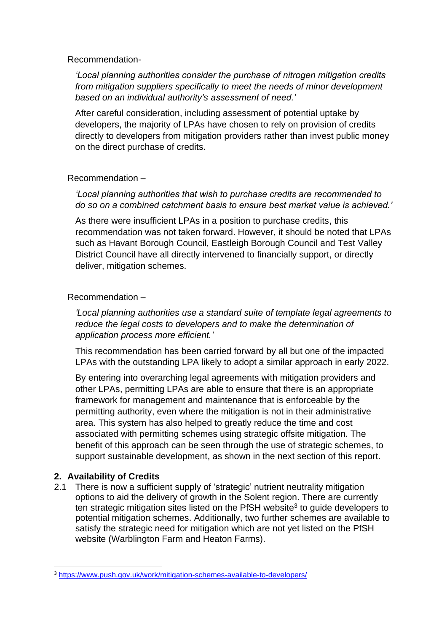Recommendation-

*'Local planning authorities consider the purchase of nitrogen mitigation credits from mitigation suppliers specifically to meet the needs of minor development based on an individual authority's assessment of need.'*

After careful consideration, including assessment of potential uptake by developers, the majority of LPAs have chosen to rely on provision of credits directly to developers from mitigation providers rather than invest public money on the direct purchase of credits.

## Recommendation –

*'Local planning authorities that wish to purchase credits are recommended to do so on a combined catchment basis to ensure best market value is achieved.'*

As there were insufficient LPAs in a position to purchase credits, this recommendation was not taken forward. However, it should be noted that LPAs such as Havant Borough Council, Eastleigh Borough Council and Test Valley District Council have all directly intervened to financially support, or directly deliver, mitigation schemes.

## Recommendation –

*'Local planning authorities use a standard suite of template legal agreements to reduce the legal costs to developers and to make the determination of application process more efficient.'*

This recommendation has been carried forward by all but one of the impacted LPAs with the outstanding LPA likely to adopt a similar approach in early 2022.

By entering into overarching legal agreements with mitigation providers and other LPAs, permitting LPAs are able to ensure that there is an appropriate framework for management and maintenance that is enforceable by the permitting authority, even where the mitigation is not in their administrative area. This system has also helped to greatly reduce the time and cost associated with permitting schemes using strategic offsite mitigation. The benefit of this approach can be seen through the use of strategic schemes, to support sustainable development, as shown in the next section of this report.

## **2. Availability of Credits**

2.1 There is now a sufficient supply of 'strategic' nutrient neutrality mitigation options to aid the delivery of growth in the Solent region. There are currently ten strategic mitigation sites listed on the PfSH website<sup>3</sup> to guide developers to potential mitigation schemes. Additionally, two further schemes are available to satisfy the strategic need for mitigation which are not yet listed on the PfSH website (Warblington Farm and Heaton Farms).

<sup>3</sup> <https://www.push.gov.uk/work/mitigation-schemes-available-to-developers/>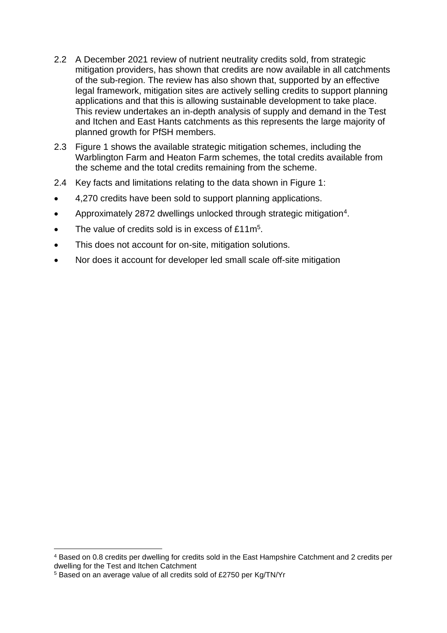- 2.2 A December 2021 review of nutrient neutrality credits sold, from strategic mitigation providers, has shown that credits are now available in all catchments of the sub-region. The review has also shown that, supported by an effective legal framework, mitigation sites are actively selling credits to support planning applications and that this is allowing sustainable development to take place. This review undertakes an in-depth analysis of supply and demand in the Test and Itchen and East Hants catchments as this represents the large majority of planned growth for PfSH members.
- 2.3 Figure 1 shows the available strategic mitigation schemes, including the Warblington Farm and Heaton Farm schemes, the total credits available from the scheme and the total credits remaining from the scheme.
- 2.4 Key facts and limitations relating to the data shown in Figure 1:
- 4,270 credits have been sold to support planning applications.
- Approximately 2872 dwellings unlocked through strategic mitigation<sup>4</sup>.
- The value of credits sold is in excess of £11m<sup>5</sup>.
- This does not account for on-site, mitigation solutions.
- Nor does it account for developer led small scale off-site mitigation

<sup>4</sup> Based on 0.8 credits per dwelling for credits sold in the East Hampshire Catchment and 2 credits per dwelling for the Test and Itchen Catchment

<sup>5</sup> Based on an average value of all credits sold of £2750 per Kg/TN/Yr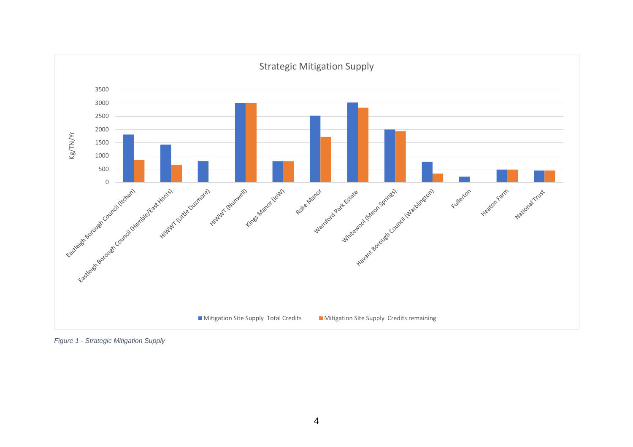

*Figure 1 - Strategic Mitigation Supply*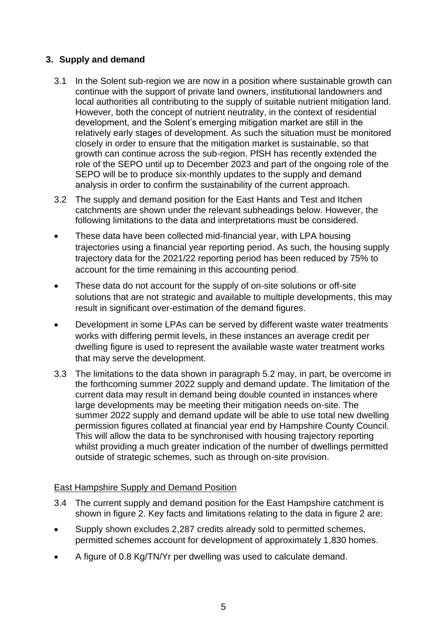# **3. Supply and demand**

- 3.1 In the Solent sub-region we are now in a position where sustainable growth can continue with the support of private land owners, institutional landowners and local authorities all contributing to the supply of suitable nutrient mitigation land. However, both the concept of nutrient neutrality, in the context of residential development, and the Solent's emerging mitigation market are still in the relatively early stages of development. As such the situation must be monitored closely in order to ensure that the mitigation market is sustainable, so that growth can continue across the sub-region. PfSH has recently extended the role of the SEPO until up to December 2023 and part of the ongoing role of the SEPO will be to produce six-monthly updates to the supply and demand analysis in order to confirm the sustainability of the current approach.
- 3.2 The supply and demand position for the East Hants and Test and Itchen catchments are shown under the relevant subheadings below. However, the following limitations to the data and interpretations must be considered.
- These data have been collected mid-financial year, with LPA housing trajectories using a financial year reporting period. As such, the housing supply trajectory data for the 2021/22 reporting period has been reduced by 75% to account for the time remaining in this accounting period.
- These data do not account for the supply of on-site solutions or off-site solutions that are not strategic and available to multiple developments, this may result in significant over-estimation of the demand figures.
- Development in some LPAs can be served by different waste water treatments works with differing permit levels, in these instances an average credit per dwelling figure is used to represent the available waste water treatment works that may serve the development.
- 3.3 The limitations to the data shown in paragraph 5.2 may, in part, be overcome in the forthcoming summer 2022 supply and demand update. The limitation of the current data may result in demand being double counted in instances where large developments may be meeting their mitigation needs on-site. The summer 2022 supply and demand update will be able to use total new dwelling permission figures collated at financial year end by Hampshire County Council. This will allow the data to be synchronised with housing trajectory reporting whilst providing a much greater indication of the number of dwellings permitted outside of strategic schemes, such as through on-site provision.

## East Hampshire Supply and Demand Position

- 3.4 The current supply and demand position for the East Hampshire catchment is shown in figure 2. Key facts and limitations relating to the data in figure 2 are:
- Supply shown excludes 2,287 credits already sold to permitted schemes, permitted schemes account for development of approximately 1,830 homes.
- A figure of 0.8 Kg/TN/Yr per dwelling was used to calculate demand.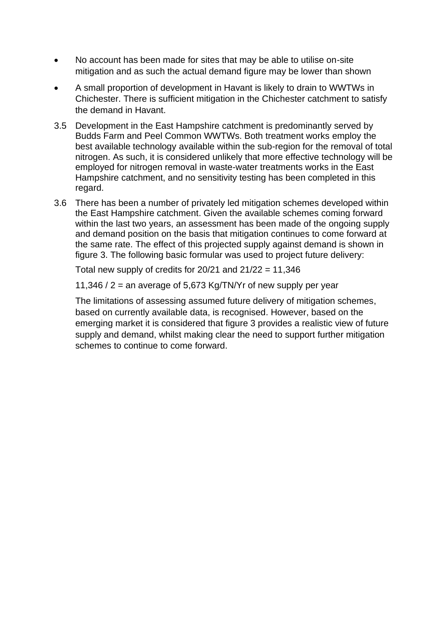- No account has been made for sites that may be able to utilise on-site mitigation and as such the actual demand figure may be lower than shown
- A small proportion of development in Havant is likely to drain to WWTWs in Chichester. There is sufficient mitigation in the Chichester catchment to satisfy the demand in Havant.
- 3.5 Development in the East Hampshire catchment is predominantly served by Budds Farm and Peel Common WWTWs. Both treatment works employ the best available technology available within the sub-region for the removal of total nitrogen. As such, it is considered unlikely that more effective technology will be employed for nitrogen removal in waste-water treatments works in the East Hampshire catchment, and no sensitivity testing has been completed in this regard.
- 3.6 There has been a number of privately led mitigation schemes developed within the East Hampshire catchment. Given the available schemes coming forward within the last two years, an assessment has been made of the ongoing supply and demand position on the basis that mitigation continues to come forward at the same rate. The effect of this projected supply against demand is shown in figure 3. The following basic formular was used to project future delivery:

Total new supply of credits for  $20/21$  and  $21/22 = 11,346$ 

11,346 / 2 = an average of 5,673 Kg/TN/Yr of new supply per year

The limitations of assessing assumed future delivery of mitigation schemes, based on currently available data, is recognised. However, based on the emerging market it is considered that figure 3 provides a realistic view of future supply and demand, whilst making clear the need to support further mitigation schemes to continue to come forward.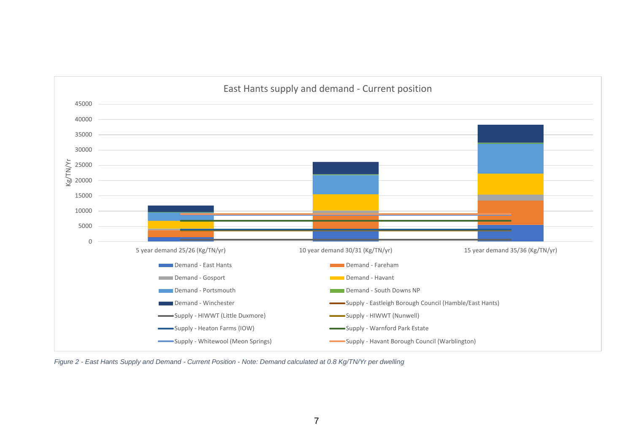

*Figure 2 - East Hants Supply and Demand - Current Position - Note: Demand calculated at 0.8 Kg/TN/Yr per dwelling*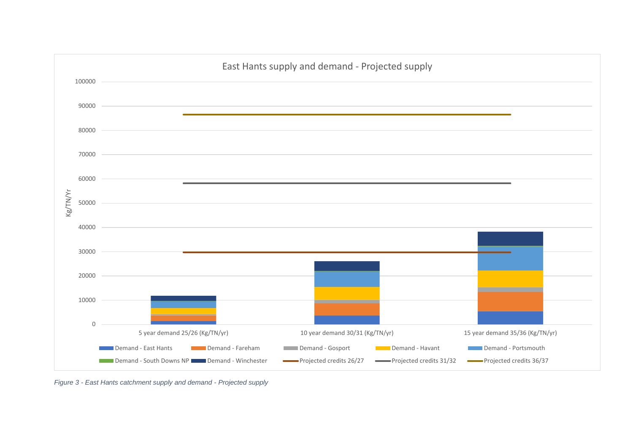

*Figure 3 - East Hants catchment supply and demand - Projected supply*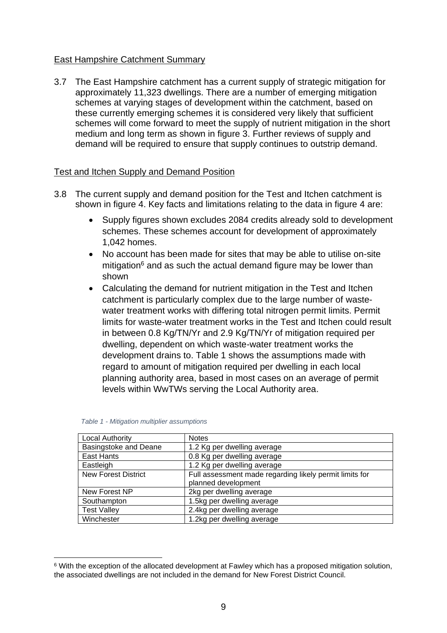#### East Hampshire Catchment Summary

3.7 The East Hampshire catchment has a current supply of strategic mitigation for approximately 11,323 dwellings. There are a number of emerging mitigation schemes at varying stages of development within the catchment, based on these currently emerging schemes it is considered very likely that sufficient schemes will come forward to meet the supply of nutrient mitigation in the short medium and long term as shown in figure 3. Further reviews of supply and demand will be required to ensure that supply continues to outstrip demand.

#### Test and Itchen Supply and Demand Position

- 3.8 The current supply and demand position for the Test and Itchen catchment is shown in figure 4. Key facts and limitations relating to the data in figure 4 are:
	- Supply figures shown excludes 2084 credits already sold to development schemes. These schemes account for development of approximately 1,042 homes.
	- No account has been made for sites that may be able to utilise on-site mitigation $6$  and as such the actual demand figure may be lower than shown
	- Calculating the demand for nutrient mitigation in the Test and Itchen catchment is particularly complex due to the large number of wastewater treatment works with differing total nitrogen permit limits. Permit limits for waste-water treatment works in the Test and Itchen could result in between 0.8 Kg/TN/Yr and 2.9 Kg/TN/Yr of mitigation required per dwelling, dependent on which waste-water treatment works the development drains to. Table 1 shows the assumptions made with regard to amount of mitigation required per dwelling in each local planning authority area, based in most cases on an average of permit levels within WwTWs serving the Local Authority area.

| <b>Local Authority</b>       | <b>Notes</b>                                            |
|------------------------------|---------------------------------------------------------|
| <b>Basingstoke and Deane</b> | 1.2 Kg per dwelling average                             |
| East Hants                   | 0.8 Kg per dwelling average                             |
| Eastleigh                    | 1.2 Kg per dwelling average                             |
| <b>New Forest District</b>   | Full assessment made regarding likely permit limits for |
|                              | planned development                                     |
| New Forest NP                | 2kg per dwelling average                                |
| Southampton                  | 1.5kg per dwelling average                              |
| <b>Test Valley</b>           | 2.4kg per dwelling average                              |
| Winchester                   | 1.2kg per dwelling average                              |

|  | Table 1 - Mitigation multiplier assumptions |
|--|---------------------------------------------|

<sup>6</sup> With the exception of the allocated development at Fawley which has a proposed mitigation solution, the associated dwellings are not included in the demand for New Forest District Council.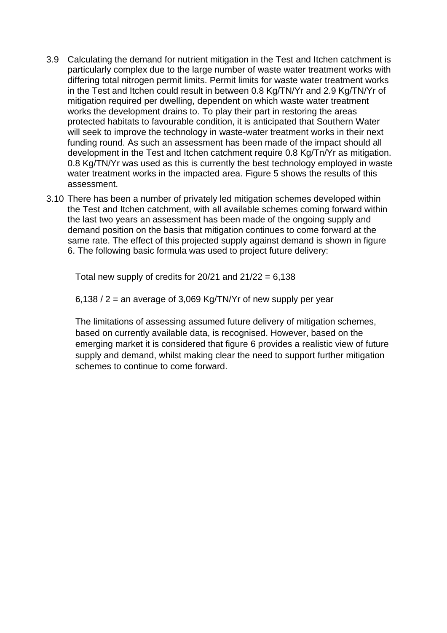- 3.9 Calculating the demand for nutrient mitigation in the Test and Itchen catchment is particularly complex due to the large number of waste water treatment works with differing total nitrogen permit limits. Permit limits for waste water treatment works in the Test and Itchen could result in between 0.8 Kg/TN/Yr and 2.9 Kg/TN/Yr of mitigation required per dwelling, dependent on which waste water treatment works the development drains to. To play their part in restoring the areas protected habitats to favourable condition, it is anticipated that Southern Water will seek to improve the technology in waste-water treatment works in their next funding round. As such an assessment has been made of the impact should all development in the Test and Itchen catchment require 0.8 Kg/Tn/Yr as mitigation. 0.8 Kg/TN/Yr was used as this is currently the best technology employed in waste water treatment works in the impacted area. Figure 5 shows the results of this assessment.
- 3.10 There has been a number of privately led mitigation schemes developed within the Test and Itchen catchment, with all available schemes coming forward within the last two years an assessment has been made of the ongoing supply and demand position on the basis that mitigation continues to come forward at the same rate. The effect of this projected supply against demand is shown in figure 6. The following basic formula was used to project future delivery:

Total new supply of credits for  $20/21$  and  $21/22 = 6,138$ 

 $6,138 / 2$  = an average of 3,069 Kg/TN/Yr of new supply per year

The limitations of assessing assumed future delivery of mitigation schemes, based on currently available data, is recognised. However, based on the emerging market it is considered that figure 6 provides a realistic view of future supply and demand, whilst making clear the need to support further mitigation schemes to continue to come forward.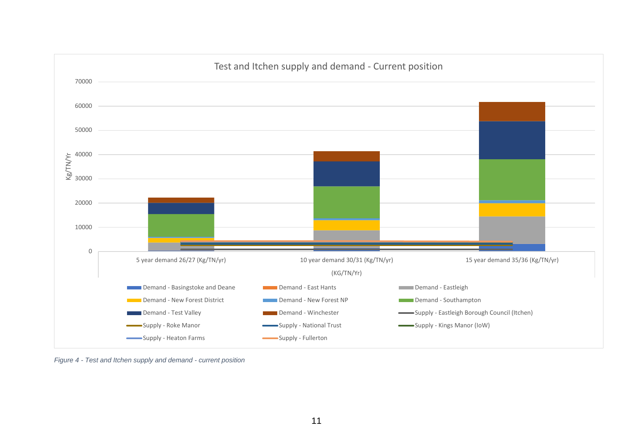

*Figure 4 - Test and Itchen supply and demand - current position*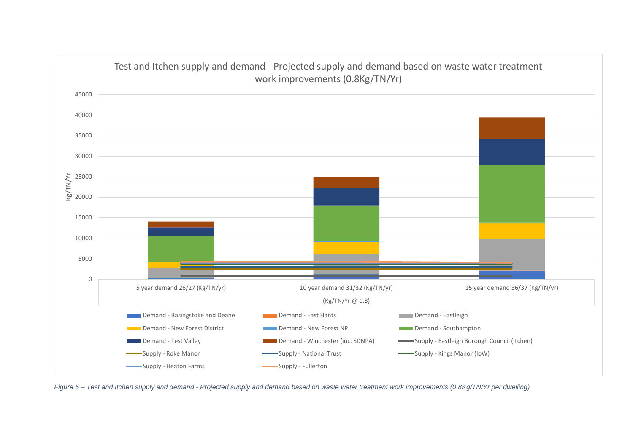

*Figure 5 – Test and Itchen supply and demand - Projected supply and demand based on waste water treatment work improvements (0.8Kg/TN/Yr per dwelling)*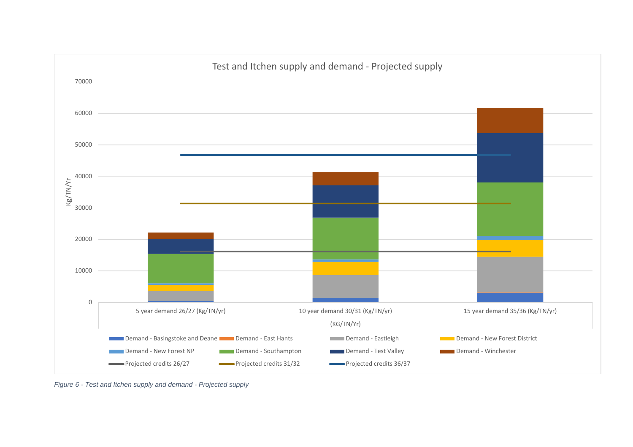

*Figure 6 - Test and Itchen supply and demand - Projected supply*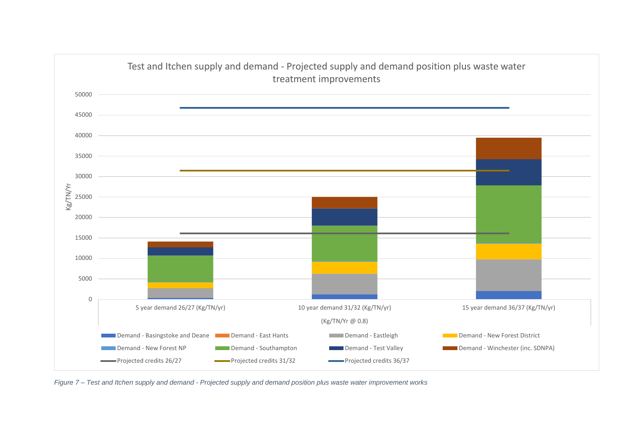

*Figure 7 – Test and Itchen supply and demand - Projected supply and demand position plus waste water improvement works*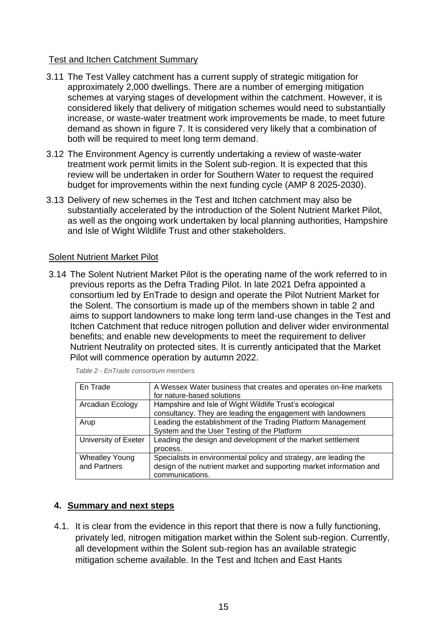#### Test and Itchen Catchment Summary

- 3.11 The Test Valley catchment has a current supply of strategic mitigation for approximately 2,000 dwellings. There are a number of emerging mitigation schemes at varying stages of development within the catchment. However, it is considered likely that delivery of mitigation schemes would need to substantially increase, or waste-water treatment work improvements be made, to meet future demand as shown in figure 7. It is considered very likely that a combination of both will be required to meet long term demand.
- 3.12 The Environment Agency is currently undertaking a review of waste-water treatment work permit limits in the Solent sub-region. It is expected that this review will be undertaken in order for Southern Water to request the required budget for improvements within the next funding cycle (AMP 8 2025-2030).
- 3.13 Delivery of new schemes in the Test and Itchen catchment may also be substantially accelerated by the introduction of the Solent Nutrient Market Pilot, as well as the ongoing work undertaken by local planning authorities, Hampshire and Isle of Wight Wildlife Trust and other stakeholders.

#### Solent Nutrient Market Pilot

3.14 The Solent Nutrient Market Pilot is the operating name of the work referred to in previous reports as the Defra Trading Pilot. In late 2021 Defra appointed a consortium led by EnTrade to design and operate the Pilot Nutrient Market for the Solent. The consortium is made up of the members shown in table 2 and aims to support landowners to make long term land-use changes in the Test and Itchen Catchment that reduce nitrogen pollution and deliver wider environmental benefits; and enable new developments to meet the requirement to deliver Nutrient Neutrality on protected sites. It is currently anticipated that the Market Pilot will commence operation by autumn 2022.

| En Trade              | A Wessex Water business that creates and operates on-line markets   |  |
|-----------------------|---------------------------------------------------------------------|--|
|                       | for nature-based solutions                                          |  |
| Arcadian Ecology      | Hampshire and Isle of Wight Wildlife Trust's ecological             |  |
|                       | consultancy. They are leading the engagement with landowners        |  |
| Arup                  | Leading the establishment of the Trading Platform Management        |  |
|                       | System and the User Testing of the Platform                         |  |
| University of Exeter  | Leading the design and development of the market settlement         |  |
|                       | process.                                                            |  |
| <b>Wheatley Young</b> | Specialists in environmental policy and strategy, are leading the   |  |
| and Partners          | design of the nutrient market and supporting market information and |  |
|                       | communications.                                                     |  |

*Table 2 - EnTrade consortium members*

#### **4. Summary and next steps**

4.1. It is clear from the evidence in this report that there is now a fully functioning, privately led, nitrogen mitigation market within the Solent sub-region. Currently, all development within the Solent sub-region has an available strategic mitigation scheme available. In the Test and Itchen and East Hants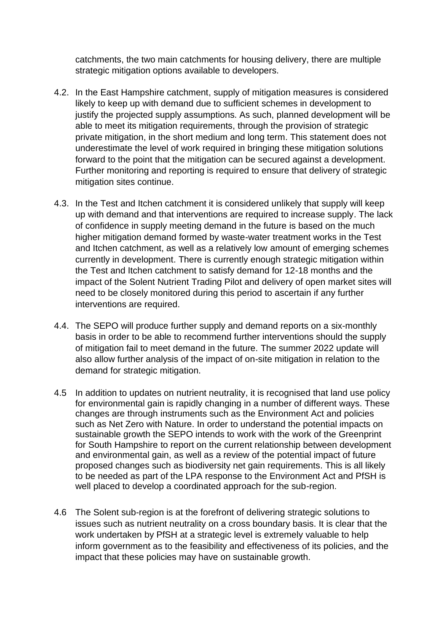catchments, the two main catchments for housing delivery, there are multiple strategic mitigation options available to developers.

- 4.2. In the East Hampshire catchment, supply of mitigation measures is considered likely to keep up with demand due to sufficient schemes in development to justify the projected supply assumptions. As such, planned development will be able to meet its mitigation requirements, through the provision of strategic private mitigation, in the short medium and long term. This statement does not underestimate the level of work required in bringing these mitigation solutions forward to the point that the mitigation can be secured against a development. Further monitoring and reporting is required to ensure that delivery of strategic mitigation sites continue.
- 4.3. In the Test and Itchen catchment it is considered unlikely that supply will keep up with demand and that interventions are required to increase supply. The lack of confidence in supply meeting demand in the future is based on the much higher mitigation demand formed by waste-water treatment works in the Test and Itchen catchment, as well as a relatively low amount of emerging schemes currently in development. There is currently enough strategic mitigation within the Test and Itchen catchment to satisfy demand for 12-18 months and the impact of the Solent Nutrient Trading Pilot and delivery of open market sites will need to be closely monitored during this period to ascertain if any further interventions are required.
- 4.4. The SEPO will produce further supply and demand reports on a six-monthly basis in order to be able to recommend further interventions should the supply of mitigation fail to meet demand in the future. The summer 2022 update will also allow further analysis of the impact of on-site mitigation in relation to the demand for strategic mitigation.
- 4.5 In addition to updates on nutrient neutrality, it is recognised that land use policy for environmental gain is rapidly changing in a number of different ways. These changes are through instruments such as the Environment Act and policies such as Net Zero with Nature. In order to understand the potential impacts on sustainable growth the SEPO intends to work with the work of the Greenprint for South Hampshire to report on the current relationship between development and environmental gain, as well as a review of the potential impact of future proposed changes such as biodiversity net gain requirements. This is all likely to be needed as part of the LPA response to the Environment Act and PfSH is well placed to develop a coordinated approach for the sub-region.
- 4.6 The Solent sub-region is at the forefront of delivering strategic solutions to issues such as nutrient neutrality on a cross boundary basis. It is clear that the work undertaken by PfSH at a strategic level is extremely valuable to help inform government as to the feasibility and effectiveness of its policies, and the impact that these policies may have on sustainable growth.